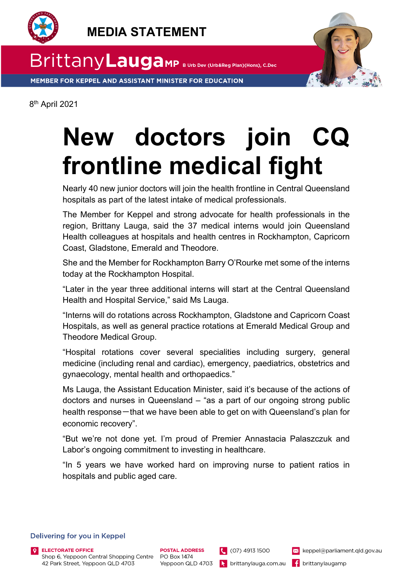



MEMBER FOR KEPPEL AND ASSISTANT MINISTER FOR EDUCATION



8th April 2021

## **New doctors join CQ frontline medical fight**

Nearly 40 new junior doctors will join the health frontline in Central Queensland hospitals as part of the latest intake of medical professionals.

The Member for Keppel and strong advocate for health professionals in the region, Brittany Lauga, said the 37 medical interns would join Queensland Health colleagues at hospitals and health centres in Rockhampton, Capricorn Coast, Gladstone, Emerald and Theodore.

She and the Member for Rockhampton Barry O'Rourke met some of the interns today at the Rockhampton Hospital.

"Later in the year three additional interns will start at the Central Queensland Health and Hospital Service," said Ms Lauga.

"Interns will do rotations across Rockhampton, Gladstone and Capricorn Coast Hospitals, as well as general practice rotations at Emerald Medical Group and Theodore Medical Group.

"Hospital rotations cover several specialities including surgery, general medicine (including renal and cardiac), emergency, paediatrics, obstetrics and gynaecology, mental health and orthopaedics."

Ms Lauga, the Assistant Education Minister, said it's because of the actions of doctors and nurses in Queensland – "as a part of our ongoing strong public health response-that we have been able to get on with Queensland's plan for economic recovery".

"But we're not done yet. I'm proud of Premier Annastacia Palaszczuk and Labor's ongoing commitment to investing in healthcare.

"In 5 years we have worked hard on improving nurse to patient ratios in hospitals and public aged care.

## Delivering for you in Keppel

42 Park Street, Yeppoon QLD 4703

 $(07) 4913 1500$